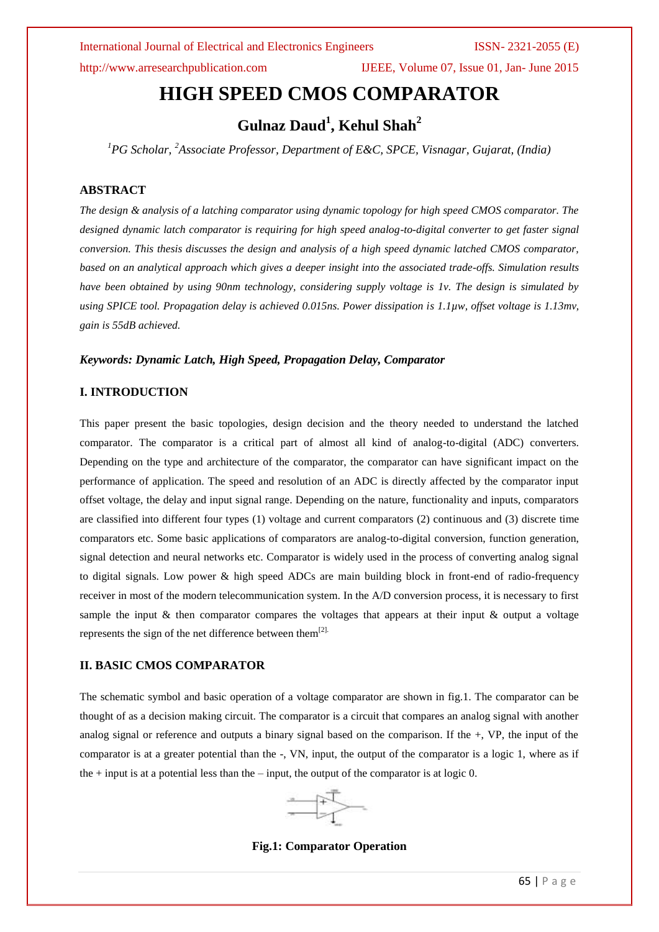http://www.arresearchpublication.com IJEEE, Volume 07, Issue 01, Jan- June 2015

# **HIGH SPEED CMOS COMPARATOR**

# **Gulnaz Daud<sup>1</sup> , Kehul Shah<sup>2</sup>**

*<sup>1</sup>PG Scholar, <sup>2</sup>Associate Professor, Department of E&C, SPCE, Visnagar, Gujarat, (India)*

# **ABSTRACT**

*The design & analysis of a latching comparator using dynamic topology for high speed CMOS comparator. The designed dynamic latch comparator is requiring for high speed analog-to-digital converter to get faster signal conversion. This thesis discusses the design and analysis of a high speed dynamic latched CMOS comparator, based on an analytical approach which gives a deeper insight into the associated trade-offs. Simulation results have been obtained by using 90nm technology, considering supply voltage is 1v. The design is simulated by using SPICE tool. Propagation delay is achieved 0.015ns. Power dissipation is 1.1µw, offset voltage is 1.13mv, gain is 55dB achieved.*

### *Keywords: Dynamic Latch, High Speed, Propagation Delay, Comparator*

### **I. INTRODUCTION**

This paper present the basic topologies, design decision and the theory needed to understand the latched comparator. The comparator is a critical part of almost all kind of analog-to-digital (ADC) converters. Depending on the type and architecture of the comparator, the comparator can have significant impact on the performance of application. The speed and resolution of an ADC is directly affected by the comparator input offset voltage, the delay and input signal range. Depending on the nature, functionality and inputs, comparators are classified into different four types (1) voltage and current comparators (2) continuous and (3) discrete time comparators etc. Some basic applications of comparators are analog-to-digital conversion, function generation, signal detection and neural networks etc. Comparator is widely used in the process of converting analog signal to digital signals. Low power & high speed ADCs are main building block in front-end of radio-frequency receiver in most of the modern telecommunication system. In the A/D conversion process, it is necessary to first sample the input & then comparator compares the voltages that appears at their input & output a voltage represents the sign of the net difference between them $^{[2]}$ .

## **II. BASIC CMOS COMPARATOR**

The schematic symbol and basic operation of a voltage comparator are shown in fig.1. The comparator can be thought of as a decision making circuit. The comparator is a circuit that compares an analog signal with another analog signal or reference and outputs a binary signal based on the comparison. If the +, VP, the input of the comparator is at a greater potential than the -, VN, input, the output of the comparator is a logic 1, where as if the + input is at a potential less than the – input, the output of the comparator is at logic 0.



**Fig.1: Comparator Operation**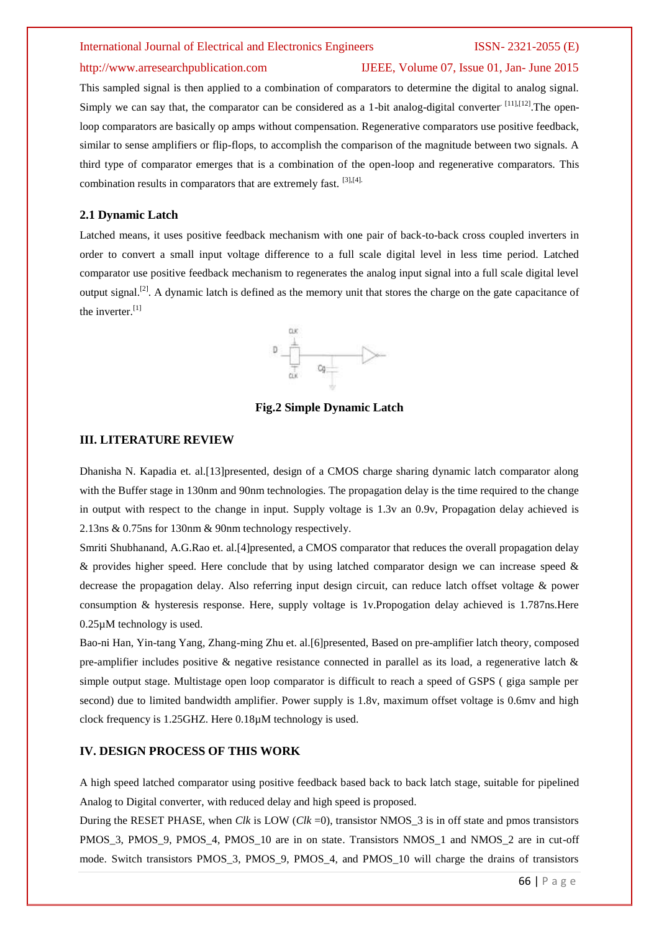## http://www.arresearchpublication.com IJEEE, Volume 07, Issue 01, Jan- June 2015

This sampled signal is then applied to a combination of comparators to determine the digital to analog signal. Simply we can say that, the comparator can be considered as a 1-bit analog-digital converter<sup>[11],[12]</sup>. The openloop comparators are basically op amps without compensation. Regenerative comparators use positive feedback, similar to sense amplifiers or flip-flops, to accomplish the comparison of the magnitude between two signals. A third type of comparator emerges that is a combination of the open-loop and regenerative comparators. This combination results in comparators that are extremely fast. [3],[4].

### **2.1 Dynamic Latch**

Latched means, it uses positive feedback mechanism with one pair of back-to-back cross coupled inverters in order to convert a small input voltage difference to a full scale digital level in less time period. Latched comparator use positive feedback mechanism to regenerates the analog input signal into a full scale digital level output signal.[2]. A dynamic latch is defined as the memory unit that stores the charge on the gate capacitance of the inverter.<sup>[1]</sup>



**Fig.2 Simple Dynamic Latch**

### **III. LITERATURE REVIEW**

Dhanisha N. Kapadia et. al.[13]presented, design of a CMOS charge sharing dynamic latch comparator along with the Buffer stage in 130nm and 90nm technologies. The propagation delay is the time required to the change in output with respect to the change in input. Supply voltage is 1.3v an 0.9v, Propagation delay achieved is 2.13ns & 0.75ns for 130nm & 90nm technology respectively.

Smriti Shubhanand, A.G.Rao et. al.[4]presented, a CMOS comparator that reduces the overall propagation delay & provides higher speed. Here conclude that by using latched comparator design we can increase speed  $\&$ decrease the propagation delay. Also referring input design circuit, can reduce latch offset voltage & power consumption & hysteresis response. Here, supply voltage is 1v.Propogation delay achieved is 1.787ns.Here 0.25µM technology is used.

Bao-ni Han, Yin-tang Yang, Zhang-ming Zhu et. al.[6]presented, Based on pre-amplifier latch theory, composed pre-amplifier includes positive & negative resistance connected in parallel as its load, a regenerative latch  $\&$ simple output stage. Multistage open loop comparator is difficult to reach a speed of GSPS ( giga sample per second) due to limited bandwidth amplifier. Power supply is 1.8v, maximum offset voltage is 0.6mv and high clock frequency is 1.25GHZ. Here 0.18µM technology is used.

# **IV. DESIGN PROCESS OF THIS WORK**

A high speed latched comparator using positive feedback based back to back latch stage, suitable for pipelined Analog to Digital converter, with reduced delay and high speed is proposed.

During the RESET PHASE, when *Clk* is LOW (*Clk* =0), transistor NMOS\_3 is in off state and pmos transistors PMOS\_3, PMOS\_9, PMOS\_4, PMOS\_10 are in on state. Transistors NMOS\_1 and NMOS\_2 are in cut-off mode. Switch transistors PMOS\_3, PMOS\_9, PMOS\_4, and PMOS\_10 will charge the drains of transistors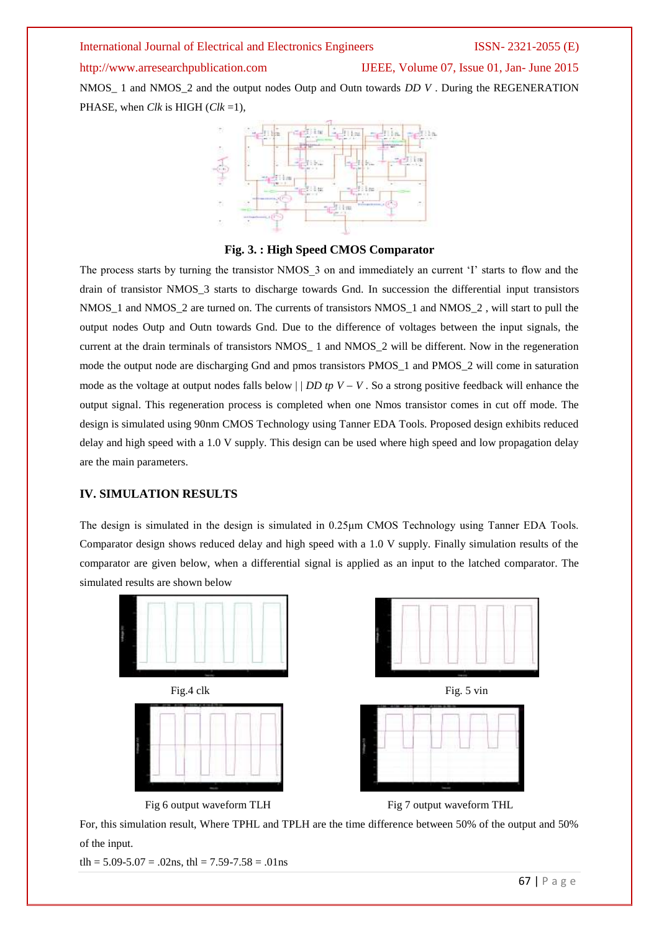# http://www.arresearchpublication.com IJEEE, Volume 07, Issue 01, Jan- June 2015

NMOS\_ 1 and NMOS\_2 and the output nodes Outp and Outn towards *DD V* . During the REGENERATION PHASE, when *Clk* is HIGH (*Clk* =1),



## **Fig. 3. : High Speed CMOS Comparator**

The process starts by turning the transistor NMOS 3 on and immediately an current 'I' starts to flow and the drain of transistor NMOS\_3 starts to discharge towards Gnd. In succession the differential input transistors NMOS\_1 and NMOS\_2 are turned on. The currents of transistors NMOS\_1 and NMOS\_2 , will start to pull the output nodes Outp and Outn towards Gnd. Due to the difference of voltages between the input signals, the current at the drain terminals of transistors NMOS 1 and NMOS 2 will be different. Now in the regeneration mode the output node are discharging Gnd and pmos transistors PMOS\_1 and PMOS\_2 will come in saturation mode as the voltage at output nodes falls below  $\mid$  *DD tp V – V*. So a strong positive feedback will enhance the output signal. This regeneration process is completed when one Nmos transistor comes in cut off mode. The design is simulated using 90nm CMOS Technology using Tanner EDA Tools. Proposed design exhibits reduced delay and high speed with a 1.0 V supply. This design can be used where high speed and low propagation delay are the main parameters.

# **IV. SIMULATION RESULTS**

The design is simulated in the design is simulated in 0.25<sub>H</sub>m CMOS Technology using Tanner EDA Tools. Comparator design shows reduced delay and high speed with a 1.0 V supply. Finally simulation results of the comparator are given below, when a differential signal is applied as an input to the latched comparator. The simulated results are shown below



For, this simulation result, Where TPHL and TPLH are the time difference between 50% of the output and 50% of the input.

tlh =  $5.09 - 5.07 = .02$ ns, thl =  $7.59 - 7.58 = .01$ ns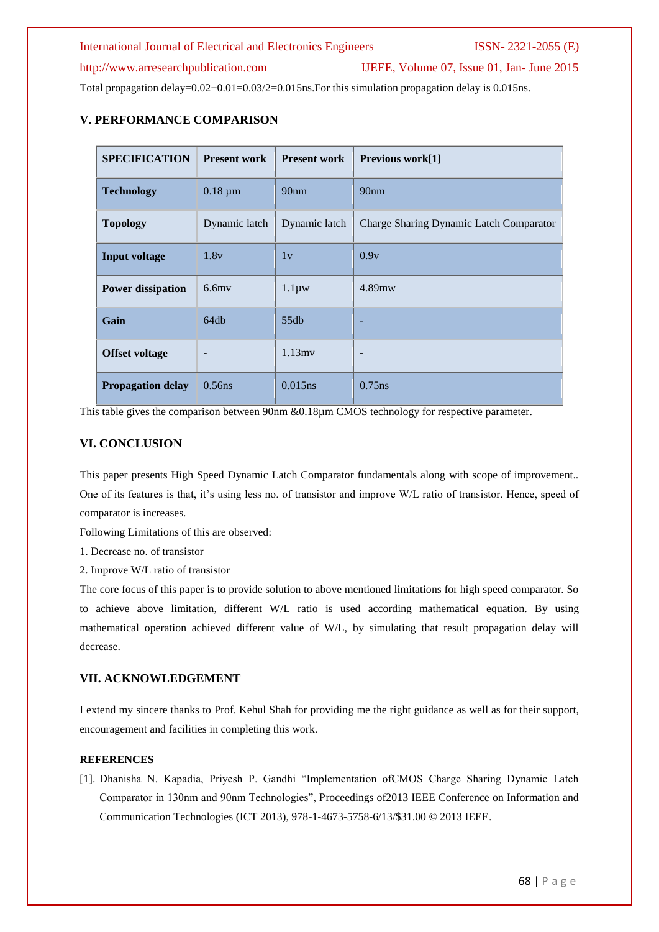# http://www.arresearchpublication.com IJEEE, Volume 07, Issue 01, Jan- June 2015

Total propagation delay=0.02+0.01=0.03/2=0.015ns. For this simulation propagation delay is 0.015ns.

# **V. PERFORMANCE COMPARISON**

| <b>SPECIFICATION</b>     | <b>Present work</b>      | <b>Present work</b> | Previous work[1]                        |
|--------------------------|--------------------------|---------------------|-----------------------------------------|
| <b>Technology</b>        | $0.18 \mu m$             | 90 <sub>nm</sub>    | 90 <sub>nm</sub>                        |
| <b>Topology</b>          | Dynamic latch            | Dynamic latch       | Charge Sharing Dynamic Latch Comparator |
| <b>Input voltage</b>     | 1.8v                     | 1v                  | 0.9v                                    |
| <b>Power dissipation</b> | $6.6$ mv                 | $1.1 \mu w$         | 4.89mw                                  |
| Gain                     | 64db                     | 55db                |                                         |
| <b>Offset voltage</b>    | $\overline{\phantom{a}}$ | $1.13$ mv           | $\overline{\phantom{0}}$                |
| <b>Propagation delay</b> | $0.56$ ns                | $0.015$ ns          | $0.75$ ns                               |

This table gives the comparison between 90nm &0.18µm CMOS technology for respective parameter.

# **VI. CONCLUSION**

This paper presents High Speed Dynamic Latch Comparator fundamentals along with scope of improvement.. One of its features is that, it's using less no. of transistor and improve W/L ratio of transistor. Hence, speed of comparator is increases.

Following Limitations of this are observed:

1. Decrease no. of transistor

2. Improve W/L ratio of transistor

The core focus of this paper is to provide solution to above mentioned limitations for high speed comparator. So to achieve above limitation, different W/L ratio is used according mathematical equation. By using mathematical operation achieved different value of W/L, by simulating that result propagation delay will decrease.

# **VII. ACKNOWLEDGEMENT**

I extend my sincere thanks to Prof. Kehul Shah for providing me the right guidance as well as for their support, encouragement and facilities in completing this work.

# **REFERENCES**

[1]. Dhanisha N. Kapadia, Priyesh P. Gandhi "Implementation ofCMOS Charge Sharing Dynamic Latch Comparator in 130nm and 90nm Technologies", Proceedings of2013 IEEE Conference on Information and Communication Technologies (ICT 2013), 978-1-4673-5758-6/13/\$31.00 © 2013 IEEE.